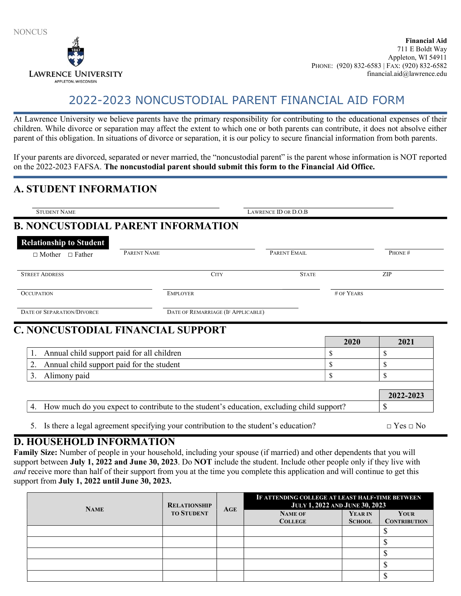

# 2022-2023 NONCUSTODIAL PARENT FINANCIAL AID FORM

At Lawrence University we believe parents have the primary responsibility for contributing to the educational expenses of their children. While divorce or separation may affect the extent to which one or both parents can contribute, it does not absolve either parent of this obligation. In situations of divorce or separation, it is our policy to secure financial information from both parents.

If your parents are divorced, separated or never married, the "noncustodial parent" is the parent whose information is NOT reported on the 2022-2023 FAFSA. The noncustodial parent should submit this form to the Financial Aid Office.

#### A. STUDENT INFORMATION

| <b>Relationship to Student</b>                  |                                    |              |            |            |
|-------------------------------------------------|------------------------------------|--------------|------------|------------|
| $\Box$ Mother $\Box$ Father                     | PARENT NAME                        | PARENT EMAIL |            | PHONE#     |
| <b>STREET ADDRESS</b>                           | <b>CITY</b>                        | <b>STATE</b> |            | <b>ZIP</b> |
| <b>OCCUPATION</b>                               | <b>EMPLOYER</b>                    |              | # OF YEARS |            |
| DATE OF SEPARATION/DIVORCE                      | DATE OF REMARRIAGE (IF APPLICABLE) |              |            |            |
|                                                 |                                    |              |            |            |
|                                                 |                                    |              | 2020       | 2021       |
| Annual child support paid for all children      |                                    |              | S          | \$         |
| 2.<br>Annual child support paid for the student |                                    |              | \$         | \$         |
| Alimony paid<br>3.                              |                                    |              | \$         | \$         |
| C. NONCUSTODIAL FINANCIAL SUPPORT               |                                    |              |            | 2022-2023  |

5. Is there a legal agreement specifying your contribution to the student's education?  $\Box$  Yes  $\Box$  No

#### D. HOUSEHOLD INFORMATION

Family Size: Number of people in your household, including your spouse (if married) and other dependents that you will support between July 1, 2022 and June 30, 2023. Do NOT include the student. Include other people only if they live with and receive more than half of their support from you at the time you complete this application and will continue to get this support from July 1, 2022 until June 30, 2023.

| <b>NAME</b> | <b>RELATIONSHIP</b><br><b>TO STUDENT</b> | AGE | IF ATTENDING COLLEGE AT LEAST HALF-TIME BETWEEN<br><b>JULY 1, 2022 AND JUNE 30, 2023</b> |               |                     |
|-------------|------------------------------------------|-----|------------------------------------------------------------------------------------------|---------------|---------------------|
|             |                                          |     | <b>NAME OF</b>                                                                           | YEAR IN       | YOUR                |
|             |                                          |     | <b>COLLEGE</b>                                                                           | <b>SCHOOL</b> | <b>CONTRIBUTION</b> |
|             |                                          |     |                                                                                          |               | دا،                 |
|             |                                          |     |                                                                                          |               | ل                   |
|             |                                          |     |                                                                                          |               |                     |
|             |                                          |     |                                                                                          |               | ιD                  |
|             |                                          |     |                                                                                          |               | ل                   |